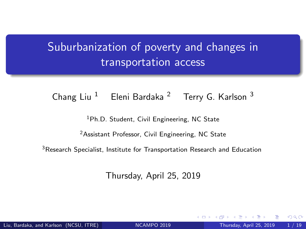# <span id="page-0-0"></span>Suburbanization of poverty and changes in transportation access

#### Chang Liu  $1$  Eleni Bardaka  $2$  Terry G. Karlson  $3$

<sup>1</sup>Ph.D. Student, Civil Engineering, NC State

<sup>2</sup> Assistant Professor, Civil Engineering, NC State

<sup>3</sup>Research Specialist, Institute for Transportation Research and Education

Thursday, April 25, 2019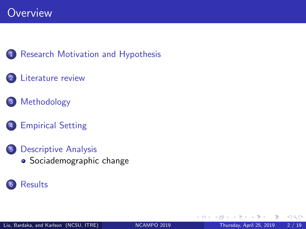#### 1 [Research Motivation and Hypothesis](#page-2-0)

#### [Literature](#page-4-0) review

- 3 [Methodology](#page-6-0)
- 4 [Empirical](#page-9-0) Setting
- 5 [Descriptive](#page-10-0) Analysis • [Sociademographic change](#page-10-0)

#### **[Results](#page-14-0)**

4 0 8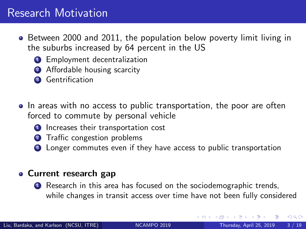#### <span id="page-2-0"></span>Research Motivation

- Between 2000 and 2011, the population below poverty limit living in the suburbs increased by 64 percent in the US
	- **1** Employment decentralization
	- 2 Affordable housing scarcity
	- <sup>3</sup> Gentrification
- In areas with no access to public transportation, the poor are often forced to commute by personal vehicle
	- **1** Increases their transportation cost
	- **2** Traffic congestion problems
	- <sup>3</sup> Longer commutes even if they have access to public transportation

#### Current research gap

**1** Research in this area has focused on the sociodemographic trends, while changes in transit access over time have not been fully considered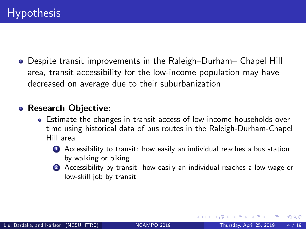<span id="page-3-0"></span>Despite transit improvements in the Raleigh–Durham– Chapel Hill area, transit accessibility for the low-income population may have decreased on average due to their suburbanization

#### • Research Objective:

- Estimate the changes in transit access of low-income households over time using historical data of bus routes in the Raleigh-Durham-Chapel Hill area
	- **4** Accessibility to transit: how easily an individual reaches a bus station by walking or biking
	- 2 Accessibility by transit: how easily an individual reaches a low-wage or low-skill job by transit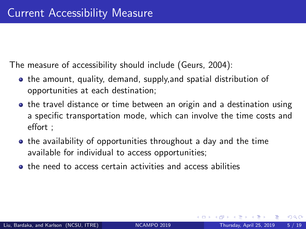<span id="page-4-0"></span>The measure of accessibility should include (Geurs, 2004):

- **•** the amount, quality, demand, supply, and spatial distribution of opportunities at each destination;
- the travel distance or time between an origin and a destination using a specific transportation mode, which can involve the time costs and effort ;
- **•** the availability of opportunities throughout a day and the time available for individual to access opportunities;
- the need to access certain activities and access abilities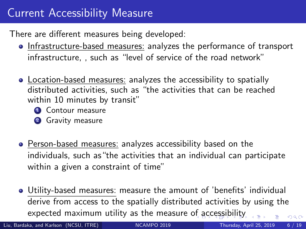# <span id="page-5-0"></span>Current Accessibility Measure

There are different measures being developed:

- Infrastructure-based measures: analyzes the performance of transport infrastructure, , such as "level of service of the road network"
- Location-based measures: analyzes the accessibility to spatially distributed activities, such as "the activities that can be reached within 10 minutes by transit"
	- **4** Contour measure
	- **2** Gravity measure
- Person-based measures: analyzes accessibility based on the individuals, such as"the activities that an individual can participate within a given a constraint of time"
- Utility-based measures: measure the amount of 'benefits' individual derive from access to the spatially distributed activities by using the expected maximum utility as the measure [of a](#page-4-0)[cc](#page-6-0)[e](#page-4-0)[ssi](#page-5-0)[b](#page-6-0)[il](#page-3-0)[it](#page-4-0)[y](#page-5-0)  $\Omega$

Liu, Bardaka, and Karlson (NCSU, ITRE) NGAMPO 2019 Thursday, April 25, 2019 6 / 19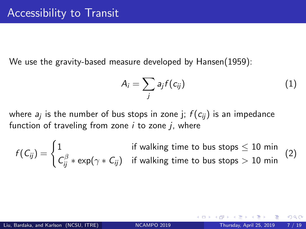<span id="page-6-0"></span>We use the gravity-based measure developed by Hansen(1959):

$$
A_i = \sum_j a_j f(c_{ij}) \tag{1}
$$

where  $\emph{a}_{j}$  is the number of bus stops in zone j;  $f(c_{ij})$  is an impedance function of traveling from zone  $i$  to zone  $j$ , where

$$
f(C_{ij}) = \begin{cases} 1 & \text{if walking time to bus stops} \leq 10 \text{ min} \\ C_{ij}^{\beta} * \exp(\gamma * C_{ij}) & \text{if walking time to bus stops} > 10 \text{ min} \end{cases}
$$
 (2)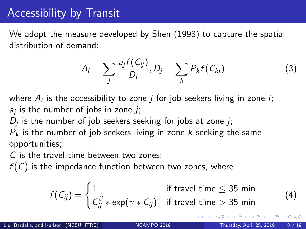# Accessibility by Transit

We adopt the measure developed by Shen (1998) to capture the spatial distribution of demand:

$$
A_i = \sum_j \frac{a_j f(C_{ij})}{D_j}, D_j = \sum_k P_k f(C_{kj})
$$
\n(3)

where  $A_i$  is the accessibility to zone  $j$  for job seekers living in zone  $i$ ;  $a_j$  is the number of jobs in zone  $j$ ;

 $D_j$  is the number of job seekers seeking for jobs at zone  $j$ ;

 $P_k$  is the number of job seekers living in zone k seeking the same opportunities;

C is the travel time between two zones;

 $f(C)$  is the impedance function between two zones, where

$$
f(C_{ij}) = \begin{cases} 1 & \text{if travel time} \leq 35 \text{ min} \\ C_{ij}^{\beta} * \exp(\gamma * C_{ij}) & \text{if travel time} > 35 \text{ min} \end{cases}
$$

(4)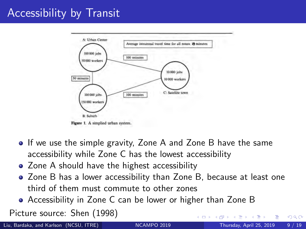# <span id="page-8-0"></span>Accessibility by Transit



- If we use the simple gravity, Zone A and Zone B have the same accessibility while Zone C has the lowest accessibility
- Zone A should have the highest accessibility
- Zone B has a lower accessibility than Zone B, because at least one third of them must commute to other zones
- Accessibility in Zone C can be lower or higher than Zone B

Picture source: Shen (1998)

Liu, Bardaka, and Karlson (NCSU, ITRE) [NCAMPO](#page-0-0) 2019 Thursday, April 25, 2019 9 / 19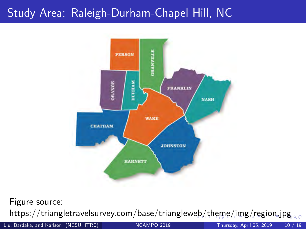# <span id="page-9-0"></span>Study Area: Raleigh-Durham-Chapel Hill, NC



Figure source: https://triangletravelsurvey.com/base/trianglew[eb](#page-8-0)/[th](#page-10-0)[e](#page-10-0)[m](#page-9-0)e[/i](#page-8-0)m[g](#page-10-0)[/](#page-8-0)[reg](#page-9-0)[i](#page-10-0)[on](#page-0-0)[.jp](#page-18-0)g.com

Liu, Bardaka, and Karlson (NCSU, ITRE) [NCAMPO](#page-0-0) 2019 Thursday, April 25, 2019 10 / 19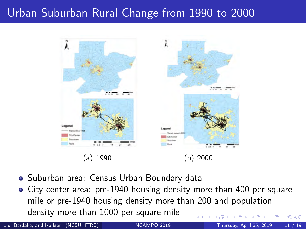# <span id="page-10-0"></span>Urban-Suburban-Rural Change from 1990 to 2000



- Suburban area: Census Urban Boundary data
- City center area: pre-1940 housing density more than 400 per square mile or pre-1940 housing density more than 200 and population density more than 1000 per square mile  $\Omega$

Liu, Bardaka, and Karlson (NCSU, ITRE) [NCAMPO](#page-0-0) 2019 Thursday, April 25, 2019 11 / 19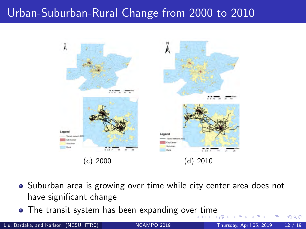# <span id="page-11-0"></span>Urban-Suburban-Rural Change from 2000 to 2010



- Suburban area is growing over time while city center area does not have significant change
- The transit system has been expanding ove[r t](#page-10-0)i[m](#page-12-0)[e](#page-10-0)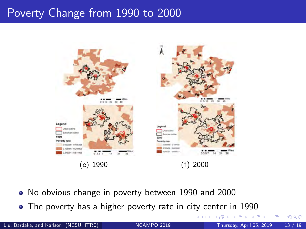#### <span id="page-12-0"></span>Poverty Change from 1990 to 2000



- No obvious change in poverty between 1990 and 2000
- The poverty has a higher poverty rate in city center in 1990

4 D F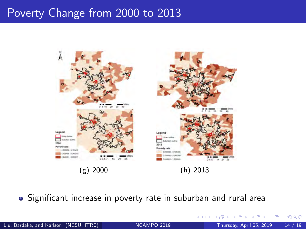#### Poverty Change from 2000 to 2013



• Significant increase in poverty rate in suburban and rural area

 $\sim$ 

**∢ ロ ▶ ィ 何**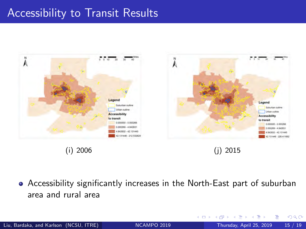### <span id="page-14-0"></span>Accessibility to Transit Results



Accessibility significantly increases in the North-East part of suburban area and rural area

 $\sim$ 

 $QQ$ 

**← ロ → → ← 何 →**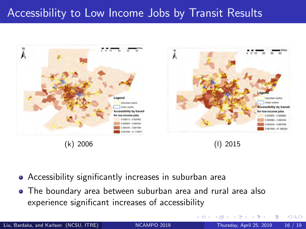### Accessibility to Low Income Jobs by Transit Results



- Accessibility significantly increases in suburban area
- The boundary area between suburban area and rural area also experience significant increases of accessibility

4 D.K. - 点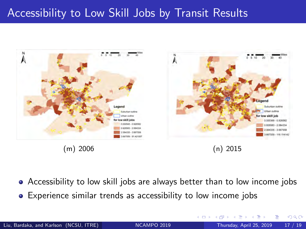#### Accessibility to Low Skill Jobs by Transit Results



Accessibility to low skill jobs are always better than to low income jobs

Experience similar trends as accessibility to low income jobs

4 D F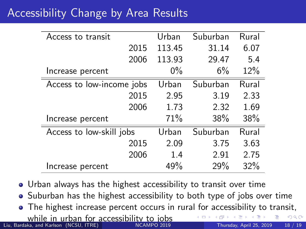# Accessibility Change by Area Results

| Access to transit         | Urban  | Suburban | Rural |
|---------------------------|--------|----------|-------|
| 2015                      | 113.45 | 31.14    | 6.07  |
| 2006                      | 113.93 | 29.47    | 5.4   |
| Increase percent          | $0\%$  | 6%       | 12%   |
| Access to low-income jobs | Urban  | Suburban | Rural |
| 2015                      | 2.95   | 3.19     | 2.33  |
| 2006                      | 1.73   | 2.32     | 1.69  |
| Increase percent          | 71%    | 38%      | 38%   |
| Access to low-skill jobs  | Urban  | Suburban | Rural |
| 2015                      | 2.09   | 3.75     | 3.63  |
| 2006                      | 1.4    | 2.91     | 2.75  |
| Increase percent          | 49%    | 29%      | 32%   |

- Urban always has the highest accessibility to transit over time
- Suburban has the highest accessibility to both type of jobs over time
- The highest increase percent occurs in rural for accessibility to transit, while in urban for accessibility to jobs  $\Omega$ Liu, Bardaka, and Karlson (NCSU, ITRE) [NCAMPO](#page-0-0) 2019 Thursday, April 25, 2019 18 / 19